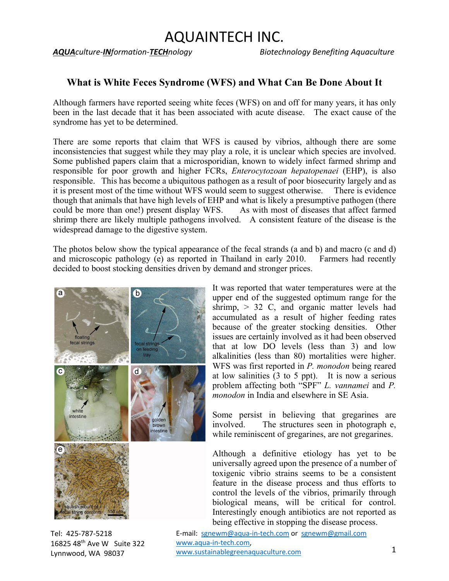## AQUAINTECH INC.

*AQUAculture-INformation-TECHnology Biotechnology Benefiting Aquaculture*

### **What is White Feces Syndrome (WFS) and What Can Be Done About It**

Although farmers have reported seeing white feces (WFS) on and off for many years, it has only been in the last decade that it has been associated with acute disease. The exact cause of the syndrome has yet to be determined.

There are some reports that claim that WFS is caused by vibrios, although there are some inconsistencies that suggest while they may play a role, it is unclear which species are involved. Some published papers claim that a microsporidian, known to widely infect farmed shrimp and responsible for poor growth and higher FCRs, *Enterocytozoan hepatopenaei* (EHP), is also responsible. This has become a ubiquitous pathogen as a result of poor biosecurity largely and as it is present most of the time without WFS would seem to suggest otherwise. There is evidence though that animals that have high levels of EHP and what is likely a presumptive pathogen (there could be more than one!) present display WFS. As with most of diseases that affect farmed shrimp there are likely multiple pathogens involved. A consistent feature of the disease is the widespread damage to the digestive system.

The photos below show the typical appearance of the fecal strands (a and b) and macro (c and d) and microscopic pathology (e) as reported in Thailand in early 2010. Farmers had recently decided to boost stocking densities driven by demand and stronger prices.



Tel: 425-787-5218 16825 48th Ave W Suite 322 Lynnwood, WA 98037

It was reported that water temperatures were at the upper end of the suggested optimum range for the shrimp,  $> 32$  C, and organic matter levels had accumulated as a result of higher feeding rates because of the greater stocking densities. Other issues are certainly involved as it had been observed that at low DO levels (less than 3) and low alkalinities (less than 80) mortalities were higher. WFS was first reported in *P. monodon* being reared at low salinities (3 to 5 ppt). It is now a serious problem affecting both "SPF" *L. vannamei* and *P. monodon* in India and elsewhere in SE Asia.

Some persist in believing that gregarines are involved. The structures seen in photograph e, while reminiscent of gregarines, are not gregarines.

Although a definitive etiology has yet to be universally agreed upon the presence of a number of toxigenic vibrio strains seems to be a consistent feature in the disease process and thus efforts to control the levels of the vibrios, primarily through biological means, will be critical for control. Interestingly enough antibiotics are not reported as being effective in stopping the disease process.

E-mail: sgnewm@aqua-in-tech.com or sgnewm@gmail.com www.aqua-in-tech.com, www.sustainablegreenaquaculture.com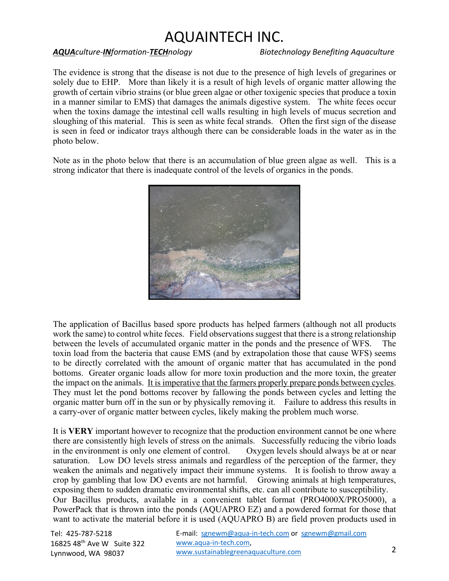# AQUAINTECH INC.

#### *AQUAculture-INformation-TECHnology Biotechnology Benefiting Aquaculture*

The evidence is strong that the disease is not due to the presence of high levels of gregarines or solely due to EHP. More than likely it is a result of high levels of organic matter allowing the growth of certain vibrio strains (or blue green algae or other toxigenic species that produce a toxin in a manner similar to EMS) that damages the animals digestive system. The white feces occur when the toxins damage the intestinal cell walls resulting in high levels of mucus secretion and sloughing of this material. This is seen as white fecal strands. Often the first sign of the disease is seen in feed or indicator trays although there can be considerable loads in the water as in the photo below.

Note as in the photo below that there is an accumulation of blue green algae as well. This is a strong indicator that there is inadequate control of the levels of organics in the ponds.



The application of Bacillus based spore products has helped farmers (although not all products work the same) to control white feces. Field observations suggest that there is a strong relationship between the levels of accumulated organic matter in the ponds and the presence of WFS. The toxin load from the bacteria that cause EMS (and by extrapolation those that cause WFS) seems to be directly correlated with the amount of organic matter that has accumulated in the pond bottoms. Greater organic loads allow for more toxin production and the more toxin, the greater the impact on the animals. It is imperative that the farmers properly prepare ponds between cycles. They must let the pond bottoms recover by fallowing the ponds between cycles and letting the organic matter burn off in the sun or by physically removing it. Failure to address this results in a carry-over of organic matter between cycles, likely making the problem much worse.

It is **VERY** important however to recognize that the production environment cannot be one where there are consistently high levels of stress on the animals. Successfully reducing the vibrio loads in the environment is only one element of control. Oxygen levels should always be at or near saturation. Low DO levels stress animals and regardless of the perception of the farmer, they weaken the animals and negatively impact their immune systems. It is foolish to throw away a crop by gambling that low DO events are not harmful. Growing animals at high temperatures, exposing them to sudden dramatic environmental shifts, etc. can all contribute to susceptibility. Our Bacillus products, available in a convenient tablet format (PRO4000X/PRO5000), a PowerPack that is thrown into the ponds (AQUAPRO EZ) and a powdered format for those that want to activate the material before it is used (AQUAPRO B) are field proven products used in